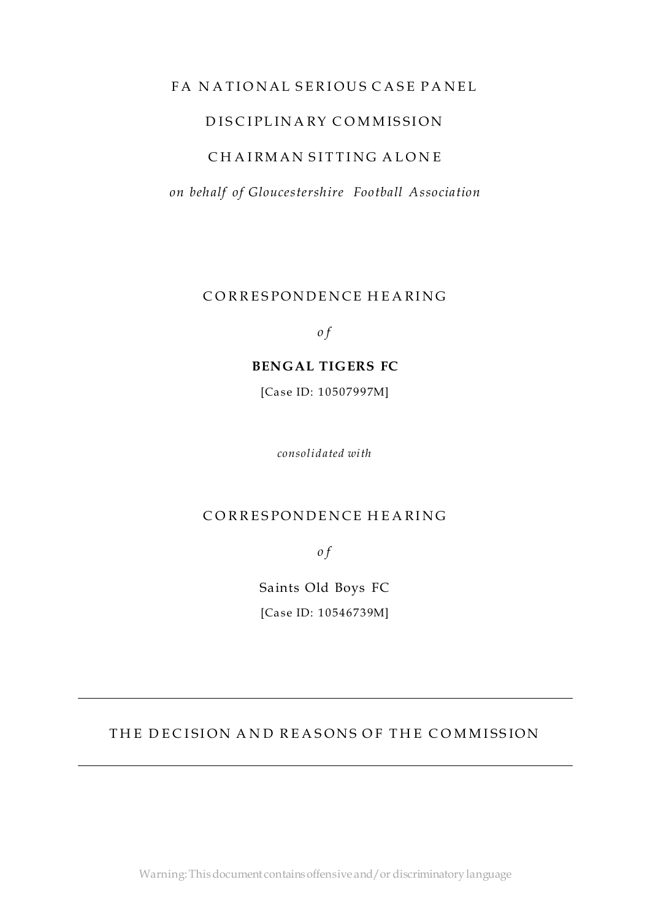### FA NATIONAL SERIOUS CASE PANEL

## D ISCIPLINARY COMMISSION

### CHAIRMAN SITTING ALONE

*on behalf of Gloucestershire Football Association*

CORRESPONDENCE HEARING

*o f*

#### **BENGAL TIGERS FC**

[Case ID: 10507997M]

*consolidated with*

### CORRESPONDENCE HEARING

*o f*

Saints Old Boys FC [Case ID: 10546739M]

## THE DECISION AND REASONS OF THE COMMISSION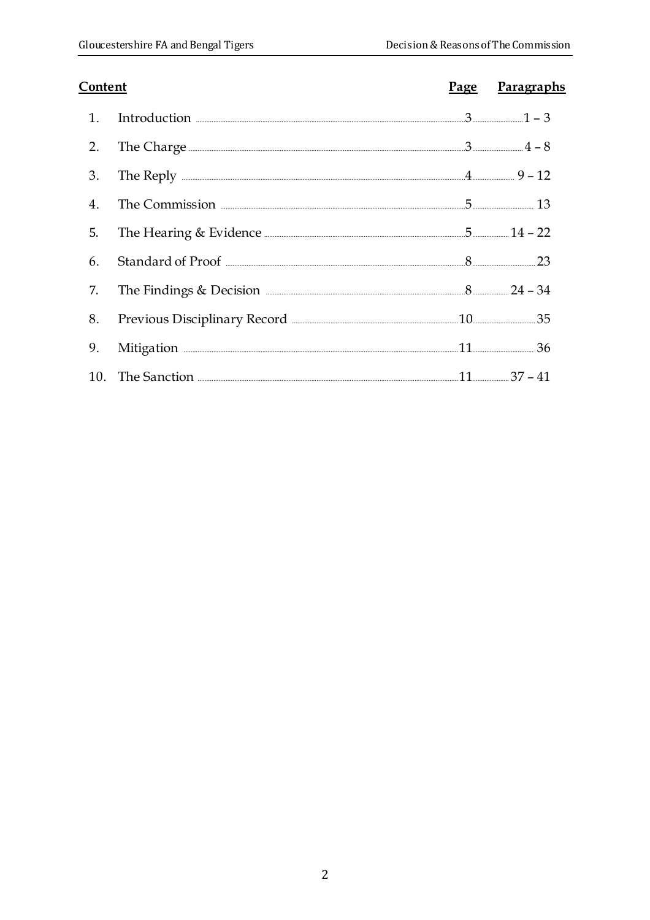| Content        |                                                             | Page Paragraphs |
|----------------|-------------------------------------------------------------|-----------------|
| 1 <sub>1</sub> | Introduction $\frac{1}{2} - 3$                              |                 |
| 2.             | The Charge $\frac{4-8}{1}$                                  |                 |
| 3.             | The Reply $\frac{9-12}{12}$                                 |                 |
| $4_{\cdot}$    | The Commission <u>Electronical</u> 13                       |                 |
| 5.             | The Hearing & Evidence <b>Manual</b> 22 <b>Manual</b> 22    |                 |
| 6.             |                                                             |                 |
| 7.             | The Findings & Decision <b>Election</b> 24 - 34             |                 |
| 8.             | Previous Disciplinary Record <b>Election Contains 20</b> 25 |                 |
| 9.             | Mitigation 26                                               |                 |
|                | 10. The Sanction <b>Election</b> 27 - 41                    |                 |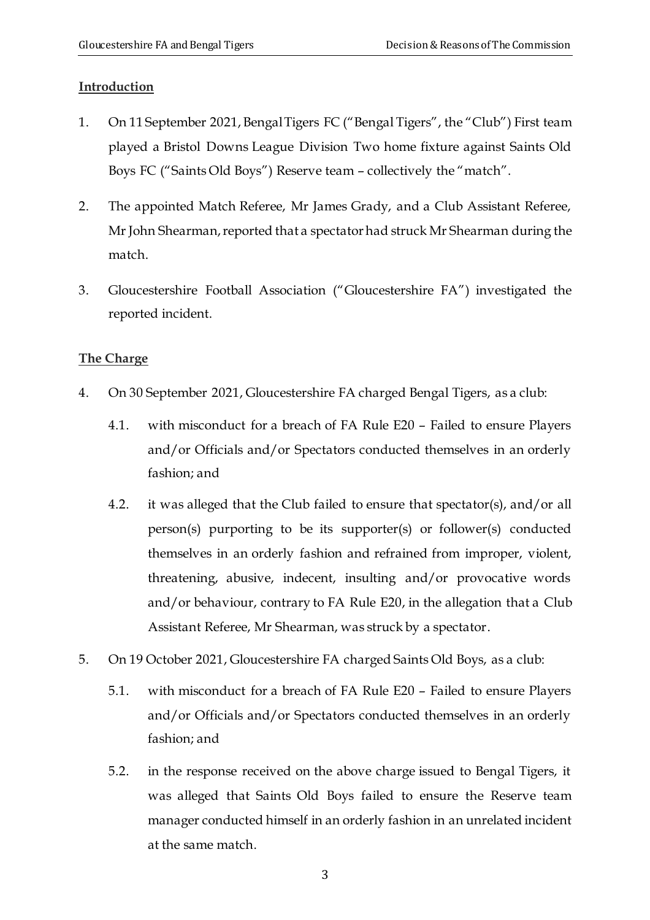#### <span id="page-2-0"></span>**Introduction**

- <span id="page-2-1"></span>1. On 11 September 2021, Bengal Tigers FC ("Bengal Tigers", the "Club") First team played a Bristol Downs League Division Two home fixture against Saints Old Boys FC ("Saints Old Boys") Reserve team – collectively the "match".
- 2. The appointed Match Referee, Mr James Grady, and a Club Assistant Referee, Mr John Shearman, reported that a spectator had struck Mr Shearman during the match.
- <span id="page-2-2"></span>3. Gloucestershire Football Association ("Gloucestershire FA") investigated the reported incident.

### <span id="page-2-3"></span>**The Charge**

- <span id="page-2-4"></span>4. On 30 September 2021, Gloucestershire FA charged Bengal Tigers, as a club:
	- 4.1. with misconduct for a breach of FA Rule E20 Failed to ensure Players and/or Officials and/or Spectators conducted themselves in an orderly fashion; and
	- 4.2. it was alleged that the Club failed to ensure that spectator(s), and/or all person(s) purporting to be its supporter(s) or follower(s) conducted themselves in an orderly fashion and refrained from improper, violent, threatening, abusive, indecent, insulting and/or provocative words and/or behaviour, contrary to FA Rule E20, in the allegation that a Club Assistant Referee, Mr Shearman, was struck by a spectator.
- 5. On 19 October 2021, Gloucestershire FA charged Saints Old Boys, as a club:
	- 5.1. with misconduct for a breach of FA Rule E20 Failed to ensure Players and/or Officials and/or Spectators conducted themselves in an orderly fashion; and
	- 5.2. in the response received on the above charge issued to Bengal Tigers, it was alleged that Saints Old Boys failed to ensure the Reserve team manager conducted himself in an orderly fashion in an unrelated incident at the same match.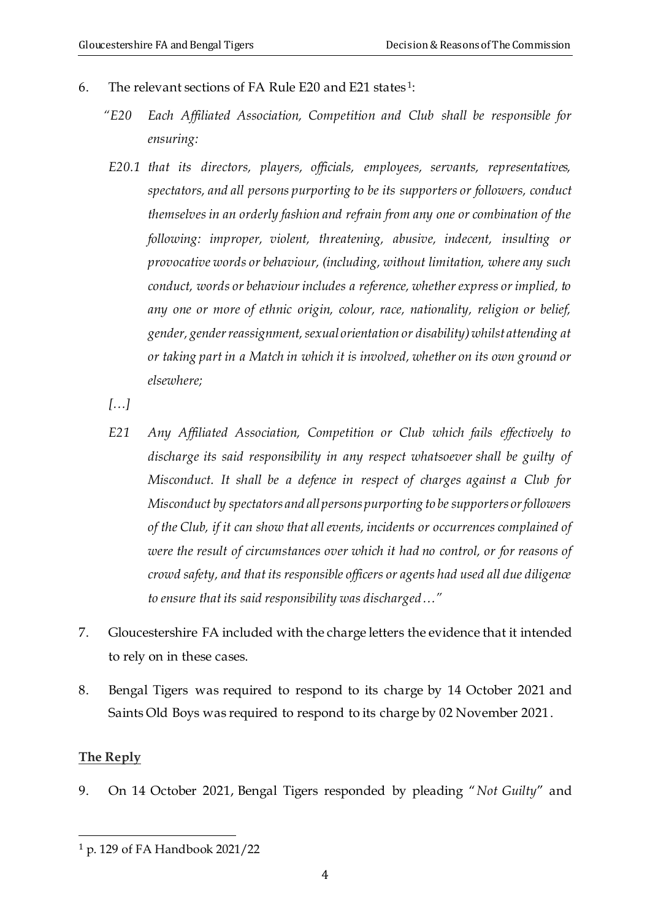- 6. The relevant sections of FA Rule E20 and E21 states <sup>1</sup> :
	- *"E20 Each Affiliated Association, Competition and Club shall be responsible for ensuring:*
	- *E20.1 that its directors, players, officials, employees, servants, representatives, spectators, and all persons purporting to be its supporters or followers, conduct themselves in an orderly fashion and refrain from any one or combination of the following: improper, violent, threatening, abusive, indecent, insulting or provocative words or behaviour, (including, without limitation, where any such conduct, words or behaviour includes a reference, whether express or implied, to any one or more of ethnic origin, colour, race, nationality, religion or belief, gender, gender reassignment, sexual orientation or disability) whilst attending at or taking part in a Match in which it is involved, whether on its own ground or elsewhere;*
	- *[…]*
	- *E21 Any Affiliated Association, Competition or Club which fails effectively to discharge its said responsibility in any respect whatsoever shall be guilty of Misconduct. It shall be a defence in respect of charges against a Club for Misconduct by spectators and all persons purporting to be supporters or followers of the Club, if it can show that all events, incidents or occurrences complained of were the result of circumstances over which it had no control, or for reasons of crowd safety, and that its responsible officers or agents had used all due diligence to ensure that its said responsibility was discharged…"*
- 7. Gloucestershire FA included with the charge letters the evidence that it intended to rely on in these cases.
- <span id="page-3-0"></span>8. Bengal Tigers was required to respond to its charge by 14 October 2021 and Saints Old Boys was required to respond to its charge by 02 November 2021.

### <span id="page-3-1"></span>**The Reply**

<span id="page-3-2"></span>9. On 14 October 2021, Bengal Tigers responded by pleading "*Not Guilty*" and

<sup>1</sup> p. 129 of FA Handbook 2021/22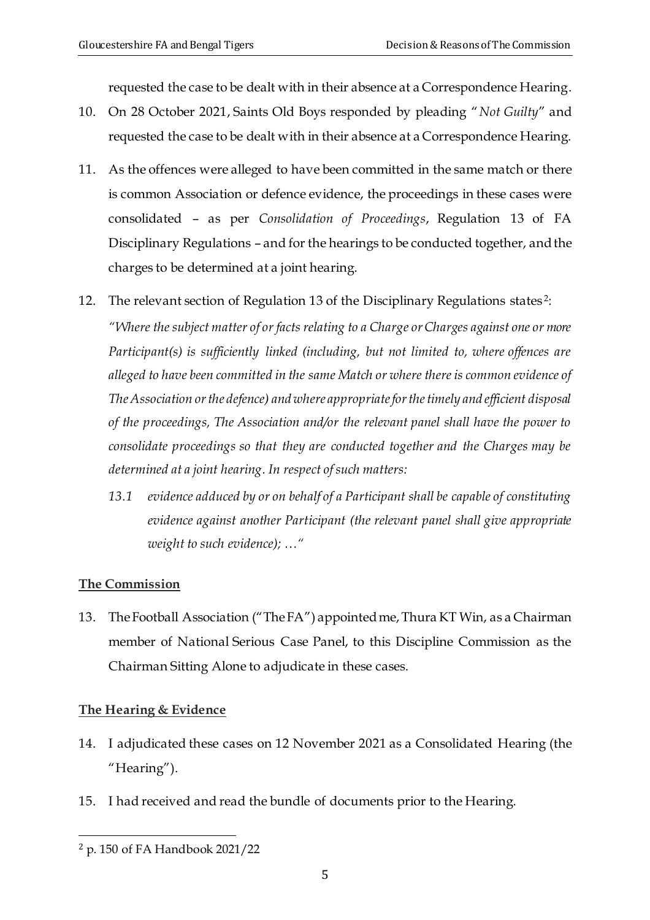requested the case to be dealt with in their absence at a Correspondence Hearing.

- 10. On 28 October 2021, Saints Old Boys responded by pleading "*Not Guilty*" and requested the case to be dealt with in their absence at a Correspondence Hearing.
- 11. As the offences were alleged to have been committed in the same match or there is common Association or defence evidence, the proceedings in these cases were consolidated – as per *Consolidation of Proceedings*, Regulation 13 of FA Disciplinary Regulations – and for the hearings to be conducted together, andthe charges to be determined at a joint hearing.
- <span id="page-4-0"></span>12. The relevant section of Regulation 13 of the Disciplinary Regulations states<sup>2</sup>:

*"Where the subject matter of or facts relating to a Charge or Charges against one or more Participant(s) is sufficiently linked (including, but not limited to, where offences are alleged to have been committed in the same Match or where there is common evidence of The Association or the defence) and where appropriate for the timely and efficient disposal of the proceedings, The Association and/or the relevant panel shall have the power to consolidate proceedings so that they are conducted together and the Charges may be determined at a joint hearing. In respect of such matters:*

*13.1 evidence adduced by or on behalf of a Participant shall be capable of constituting evidence against another Participant (the relevant panel shall give appropriate weight to such evidence); …"* 

# <span id="page-4-1"></span>**The Commission**

<span id="page-4-2"></span>13. TheFootball Association ("TheFA") appointedme,Thura KT Win, as a Chairman member of National Serious Case Panel, to this Discipline Commission as the Chairman Sitting Alone to adjudicate in these cases.

# <span id="page-4-3"></span>**The Hearing & Evidence**

- <span id="page-4-4"></span>14. I adjudicated these cases on 12 November 2021 as a Consolidated Hearing (the "Hearing").
- 15. I had received and read the bundle of documents prior to the Hearing.

<sup>2</sup> p. 150 of FA Handbook 2021/22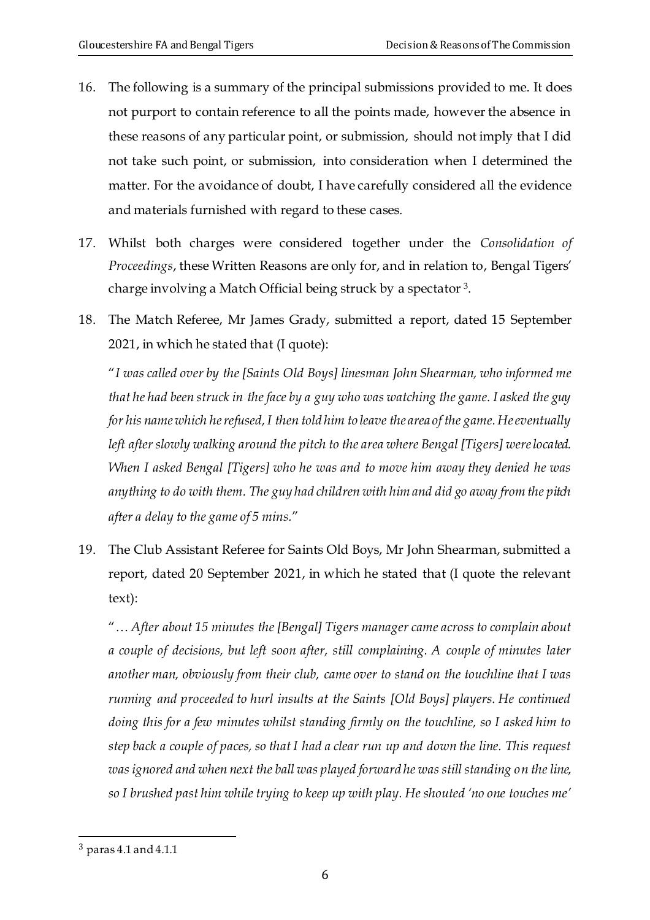- 16. The following is a summary of the principal submissions provided to me. It does not purport to contain reference to all the points made, however the absence in these reasons of any particular point, or submission, should not imply that I did not take such point, or submission, into consideration when I determined the matter. For the avoidance of doubt, I have carefully considered all the evidence and materials furnished with regard to these cases.
- 17. Whilst both charges were considered together under the *Consolidation of Proceedings*, these Written Reasons are only for, and in relation to, Bengal Tigers' charge involving a Match Official being struck by a spectator  $^3$ .
- 18. The Match Referee, Mr James Grady, submitted a report, dated 15 September 2021, in which he stated that (I quote):

"*I was called over by the [Saints Old Boys] linesman John Shearman, who informed me that he had been struck in the face by a guy who was watching the game. I asked the guy for his name which he refused, I then told him to leave the area of the game. He eventually left after slowly walking around the pitch to the area where Bengal [Tigers] were located. When I asked Bengal [Tigers] who he was and to move him away they denied he was anything to do with them. The guy had children with him and did go away from the pitch after a delay to the game of 5 mins.*"

19. The Club Assistant Referee for Saints Old Boys, Mr John Shearman, submitted a report, dated 20 September 2021, in which he stated that (I quote the relevant text):

"… *After about 15 minutes the [Bengal] Tigers manager came across to complain about a couple of decisions, but left soon after, still complaining. A couple of minutes later another man, obviously from their club, came over to stand on the touchline that I was running and proceeded to hurl insults at the Saints [Old Boys] players. He continued doing this for a few minutes whilst standing firmly on the touchline, so I asked him to step back a couple of paces, so that I had a clear run up and down the line. This request*  was ignored and when next the ball was played forward he was still standing on the line, *so I brushed past him while trying to keep up with play. He shouted 'no one touches me'* 

<sup>3</sup> paras 4.1 and 4.1.1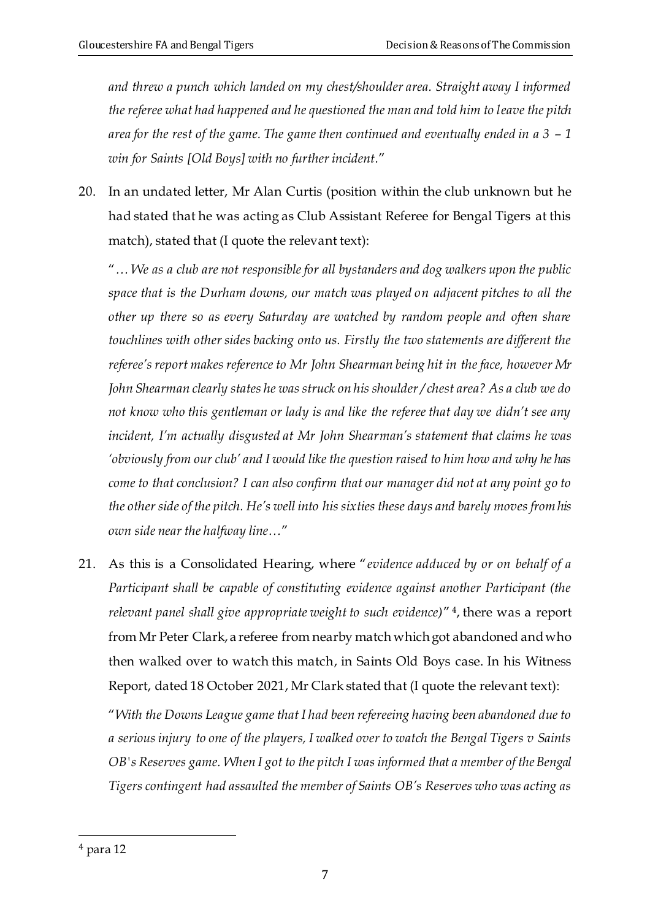and threw a punch which landed on my chest/shoulder area. Straight away I informed *the referee what had happened and he questioned the man and told him to leave the pitch area for the rest of the game. The game then continued and eventually ended in a 3 – 1 win for Saints [Old Boys] with no further incident.*"

20. In an undated letter, Mr Alan Curtis (position within the club unknown but he had stated that he was acting as Club Assistant Referee for Bengal Tigers at this match), stated that (I quote the relevant text):

"*… We as a club are not responsible for all bystanders and dog walkers upon the public space that is the Durham downs, our match was played on adjacent pitches to all the other up there so as every Saturday are watched by random people and often share touchlines with other sides backing onto us. Firstly the two statements are different the referee's report makes reference to Mr John Shearman being hit in the face, however Mr John Shearman clearly states he was struck on his shoulder / chest area? As a club we do not know who this gentleman or lady is and like the referee that day we didn't see any incident, I'm actually disgusted at Mr John Shearman's statement that claims he was 'obviously from our club' and I would like the question raised to him how and why he has come to that conclusion? I can also confirm that our manager did not at any point go to the other side of the pitch. He's well into his sixties these days and barely moves from his own side near the halfway line…*"

21. As this is a Consolidated Hearing, where "*evidence adduced by or on behalf of a Participant shall be capable of constituting evidence against another Participant (the relevant panel shall give appropriate weight to such evidence)*" 4 , there was a report from Mr Peter Clark, a referee from nearby match which got abandoned and who then walked over to watch this match, in Saints Old Boys case. In his Witness Report, dated 18 October 2021, Mr Clark stated that (I quote the relevant text):

"*With the Downs League game that I had been refereeing having been abandoned due to a serious injury to one of the players, I walked over to watch the Bengal Tigers v Saints OB's Reserves game. When I got to the pitch I was informed that a member of the Bengal Tigers contingent had assaulted the member of Saints OB's Reserves who was acting as* 

<sup>4</sup> para 12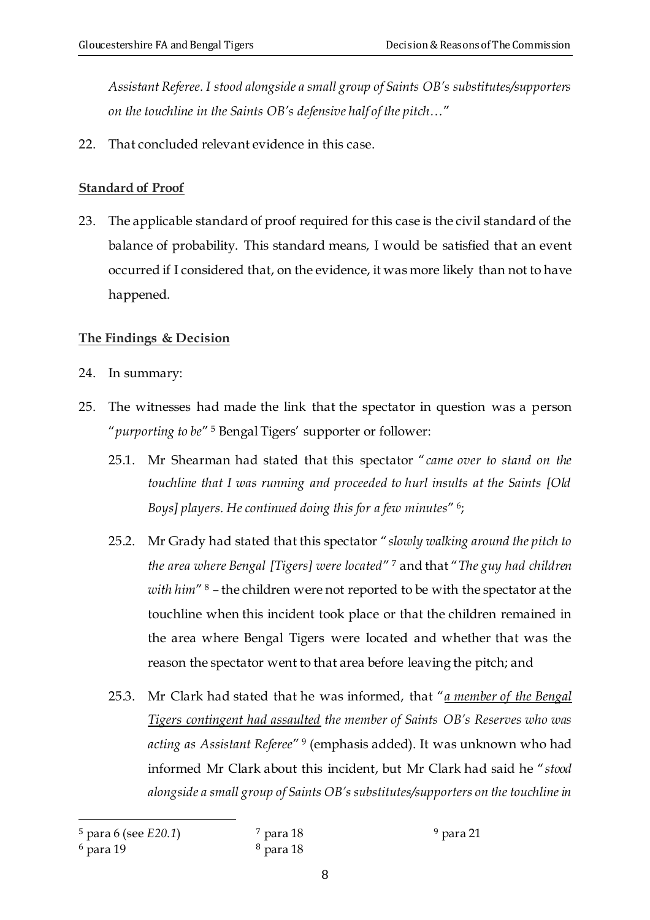*Assistant Referee. I stood alongside a small group of Saints OB's substitutes/supporters on the touchline in the Saints OB's defensive half of the pitch…*"

<span id="page-7-0"></span>22. That concluded relevant evidence in this case.

# <span id="page-7-1"></span>**Standard of Proof**

<span id="page-7-2"></span>23. The applicable standard of proof required for this case is the civil standard of the balance of probability. This standard means, I would be satisfied that an event occurred if I considered that, on the evidence, it was more likely than not to have happened*.*

# <span id="page-7-3"></span>**The Findings & Decision**

- <span id="page-7-4"></span>24. In summary:
- 25. The witnesses had made the link that the spectator in question was a person "*purporting to be*" <sup>5</sup> Bengal Tigers' supporter or follower:
	- 25.1. Mr Shearman had stated that this spectator "*came over to stand on the touchline that I was running and proceeded to hurl insults at the Saints [Old Boys] players. He continued doing this for a few minutes*" 6 ;
	- 25.2. Mr Grady had stated that this spectator "*slowly walking around the pitch to the area where Bengal [Tigers] were located*" <sup>7</sup> and that "*The guy had children with him*" <sup>8</sup> – the children were not reported to be with the spectator at the touchline when this incident took place or that the children remained in the area where Bengal Tigers were located and whether that was the reason the spectator went to that area before leaving the pitch; and
	- 25.3. Mr Clark had stated that he was informed, that "*a member of the Bengal Tigers contingent had assaulted the member of Saints OB's Reserves who was acting as Assistant Referee*" 9 (emphasis added). It was unknown who had informed Mr Clark about this incident, but Mr Clark had said he "*stood alongside a small group of Saints OB's substitutes/supporters on the touchline in*

<sup>5</sup> para 6 (see *E20.1*)

<sup>6</sup> para 19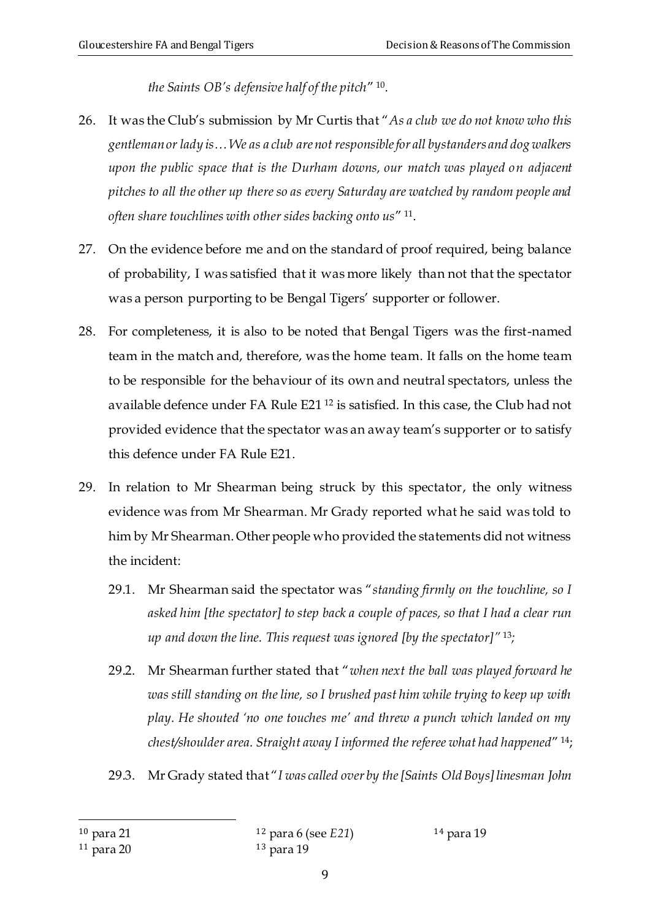*the Saints OB's defensive half of the pitch*" 10 .

- 26. It was the Club's submission by Mr Curtis that "*As a club we do not know who this gentleman or lady is… We as a club are not responsible for all bystanders and dog walkers upon the public space that is the Durham downs, our match was played on adjacent pitches to all the other up there so as every Saturday are watched by random people and often share touchlines with other sides backing onto us*" 11 .
- 27. On the evidence before me and on the standard of proof required, being balance of probability, I was satisfied that it was more likely than not that the spectator was a person purporting to be Bengal Tigers' supporter or follower.
- 28. For completeness, it is also to be noted that Bengal Tigers was the first-named team in the match and, therefore, was the home team. It falls on the home team to be responsible for the behaviour of its own and neutral spectators, unless the available defence under FA Rule E21 <sup>12</sup> is satisfied. In this case, the Club had not provided evidence that the spectator was an away team's supporter or to satisfy this defence under FA Rule E21.
- 29. In relation to Mr Shearman being struck by this spectator, the only witness evidence was from Mr Shearman. Mr Grady reported what he said was told to him by Mr Shearman. Other people who provided the statements did not witness the incident:
	- 29.1. Mr Shearman said the spectator was "*standing firmly on the touchline, so I asked him [the spectator] to step back a couple of paces, so that I had a clear run up and down the line. This request was ignored [by the spectator]"* <sup>13</sup>*;*
	- 29.2. Mr Shearman further stated that "*when next the ball was played forward he was still standing on the line, so I brushed past him while trying to keep up with play. He shouted 'no one touches me' and threw a punch which landed on my chest/shoulder area. Straight away I informed the referee what had happened*" 14;
	- 29.3. Mr Grady stated that "*I was called over by the [Saints Old Boys] linesman John*

<sup>10</sup> para 21

<sup>12</sup> para 6 (see *E21*) <sup>13</sup> para 19

<sup>11</sup> para 20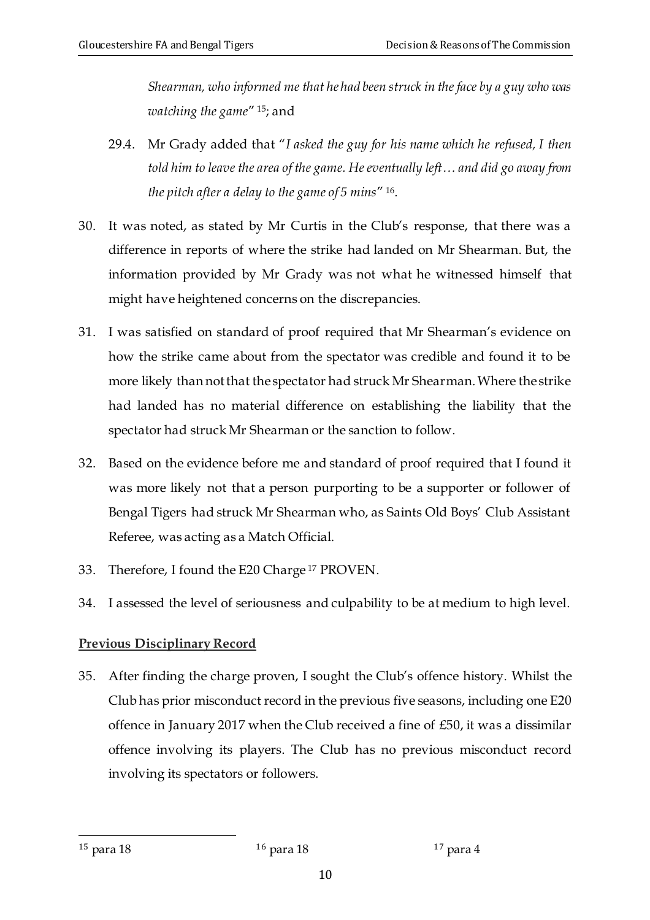*Shearman, who informed me that he had been struck in the face by a guy who was watching the game*" <sup>15</sup>; and

- 29.4. Mr Grady added that "*I asked the guy for his name which he refused, I then told him to leave the area of the game. He eventually left… and did go away from the pitch after a delay to the game of 5 mins*" 16 .
- 30. It was noted, as stated by Mr Curtis in the Club's response, that there was a difference in reports of where the strike had landed on Mr Shearman. But, the information provided by Mr Grady was not what he witnessed himself that might have heightened concerns on the discrepancies.
- 31. I was satisfied on standard of proof required that Mr Shearman's evidence on how the strike came about from the spectator was credible and found it to be more likely than not that the spectator had struck Mr Shearman. Where the strike had landed has no material difference on establishing the liability that the spectator had struck Mr Shearman or the sanction to follow.
- 32. Based on the evidence before me and standard of proof required that I found it was more likely not that a person purporting to be a supporter or follower of Bengal Tigers had struck Mr Shearman who, as Saints Old Boys' Club Assistant Referee, was acting as a Match Official.
- 33. Therefore, I found the E20 Charge <sup>17</sup> PROVEN.
- <span id="page-9-0"></span>34. I assessed the level of seriousness and culpability to be at medium to high level.

# <span id="page-9-1"></span>**Previous Disciplinary Record**

<span id="page-9-2"></span>35. After finding the charge proven, I sought the Club's offence history. Whilst the Club has prior misconduct record in the previous five seasons, including one E20 offence in January 2017 when the Club received a fine of £50, it was a dissimilar offence involving its players. The Club has no previous misconduct record involving its spectators or followers.

 $^{15}$  para 18  $^{16}$  para 18  $^{17}$  para 4